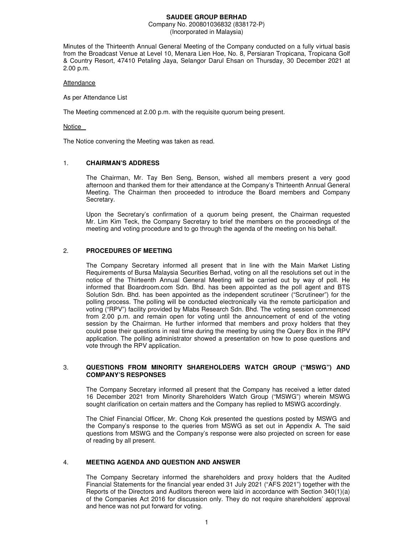### **SAUDEE GROUP BERHAD**

#### Company No. 200801036832 (838172-P) (Incorporated in Malaysia)

Minutes of the Thirteenth Annual General Meeting of the Company conducted on a fully virtual basis from the Broadcast Venue at Level 10, Menara Lien Hoe, No. 8, Persiaran Tropicana, Tropicana Golf & Country Resort, 47410 Petaling Jaya, Selangor Darul Ehsan on Thursday, 30 December 2021 at 2.00 p.m.

### Attendance

As per Attendance List

The Meeting commenced at 2.00 p.m. with the requisite quorum being present.

#### Notice

The Notice convening the Meeting was taken as read.

### 1. **CHAIRMAN'S ADDRESS**

The Chairman, Mr. Tay Ben Seng, Benson, wished all members present a very good afternoon and thanked them for their attendance at the Company's Thirteenth Annual General Meeting. The Chairman then proceeded to introduce the Board members and Company Secretary.

Upon the Secretary's confirmation of a quorum being present, the Chairman requested Mr. Lim Kim Teck, the Company Secretary to brief the members on the proceedings of the meeting and voting procedure and to go through the agenda of the meeting on his behalf.

### 2. **PROCEDURES OF MEETING**

The Company Secretary informed all present that in line with the Main Market Listing Requirements of Bursa Malaysia Securities Berhad, voting on all the resolutions set out in the notice of the Thirteenth Annual General Meeting will be carried out by way of poll. He informed that Boardroom.com Sdn. Bhd. has been appointed as the poll agent and BTS Solution Sdn. Bhd. has been appointed as the independent scrutineer ("Scrutineer") for the polling process. The polling will be conducted electronically via the remote participation and voting ("RPV") facility provided by Mlabs Research Sdn. Bhd. The voting session commenced from 2.00 p.m. and remain open for voting until the announcement of end of the voting session by the Chairman. He further informed that members and proxy holders that they could pose their questions in real time during the meeting by using the Query Box in the RPV application. The polling administrator showed a presentation on how to pose questions and vote through the RPV application.

### 3. **QUESTIONS FROM MINORITY SHAREHOLDERS WATCH GROUP ("MSWG") AND COMPANY'S RESPONSES**

The Company Secretary informed all present that the Company has received a letter dated 16 December 2021 from Minority Shareholders Watch Group ("MSWG") wherein MSWG sought clarification on certain matters and the Company has replied to MSWG accordingly.

The Chief Financial Officer, Mr. Chong Kok presented the questions posted by MSWG and the Company's response to the queries from MSWG as set out in Appendix A. The said questions from MSWG and the Company's response were also projected on screen for ease of reading by all present.

### 4. **MEETING AGENDA AND QUESTION AND ANSWER**

The Company Secretary informed the shareholders and proxy holders that the Audited Financial Statements for the financial year ended 31 July 2021 ("AFS 2021") together with the Reports of the Directors and Auditors thereon were laid in accordance with Section 340(1)(a) of the Companies Act 2016 for discussion only. They do not require shareholders' approval and hence was not put forward for voting.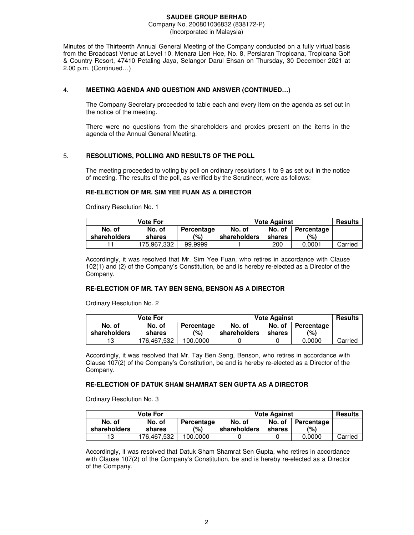Minutes of the Thirteenth Annual General Meeting of the Company conducted on a fully virtual basis from the Broadcast Venue at Level 10, Menara Lien Hoe, No. 8, Persiaran Tropicana, Tropicana Golf & Country Resort, 47410 Petaling Jaya, Selangor Darul Ehsan on Thursday, 30 December 2021 at 2.00 p.m. (Continued…)

# 4. **MEETING AGENDA AND QUESTION AND ANSWER (CONTINUED…)**

The Company Secretary proceeded to table each and every item on the agenda as set out in the notice of the meeting.

There were no questions from the shareholders and proxies present on the items in the agenda of the Annual General Meeting.

# 5. **RESOLUTIONS, POLLING AND RESULTS OF THE POLL**

The meeting proceeded to voting by poll on ordinary resolutions 1 to 9 as set out in the notice of meeting. The results of the poll, as verified by the Scrutineer, were as follows:-

# **RE-ELECTION OF MR. SIM YEE FUAN AS A DIRECTOR**

Ordinary Resolution No. 1

| Vote For     |                      |         | <b>Vote Against</b> |        |            | <b>Results</b> |
|--------------|----------------------|---------|---------------------|--------|------------|----------------|
| No. of       | No. of<br>Percentage |         | No. of              | No. of | Percentage |                |
| shareholders | shares               | (%)     | shareholders        | shares | (%)        |                |
|              | 175.967.332          | 99.9999 |                     | 200    | 0.0001     | Carried        |

Accordingly, it was resolved that Mr. Sim Yee Fuan, who retires in accordance with Clause 102(1) and (2) of the Company's Constitution, be and is hereby re-elected as a Director of the Company.

# **RE-ELECTION OF MR. TAY BEN SENG, BENSON AS A DIRECTOR**

Ordinary Resolution No. 2

| <b>Vote For</b>                |             |          | <b>Vote Against</b> | <b>Results</b> |            |         |
|--------------------------------|-------------|----------|---------------------|----------------|------------|---------|
| No. of<br>No. of<br>Percentage |             |          | No. of              | No. of         | Percentage |         |
| shareholders                   | shares      | (%)      | shareholders        | shares         | (9)        |         |
| 13                             | 176.467.532 | 100.0000 |                     |                | 0.0000     | Carried |

Accordingly, it was resolved that Mr. Tay Ben Seng, Benson, who retires in accordance with Clause 107(2) of the Company's Constitution, be and is hereby re-elected as a Director of the Company.

# **RE-ELECTION OF DATUK SHAM SHAMRAT SEN GUPTA AS A DIRECTOR**

Ordinary Resolution No. 3

| <b>Vote For</b>                |             |          | <b>Vote Against</b> | <b>Results</b> |        |         |
|--------------------------------|-------------|----------|---------------------|----------------|--------|---------|
| No. of<br>No. of<br>Percentage |             | No. of   | No. of              | Percentage     |        |         |
| shareholders                   | shares      | (%)      | shareholders        | shares         | (%)    |         |
| 13                             | 176.467.532 | 100.0000 |                     |                | 0.0000 | Carried |

Accordingly, it was resolved that Datuk Sham Shamrat Sen Gupta, who retires in accordance with Clause 107(2) of the Company's Constitution, be and is hereby re-elected as a Director of the Company.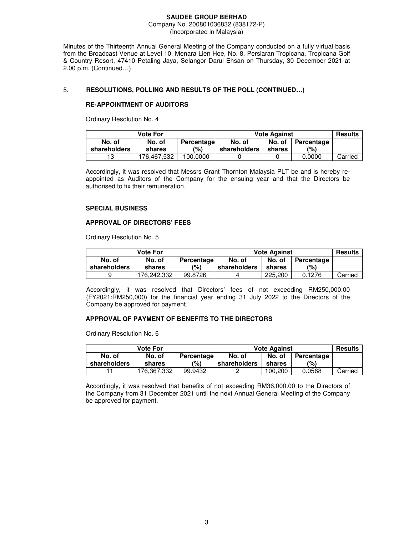Minutes of the Thirteenth Annual General Meeting of the Company conducted on a fully virtual basis from the Broadcast Venue at Level 10, Menara Lien Hoe, No. 8, Persiaran Tropicana, Tropicana Golf & Country Resort, 47410 Petaling Jaya, Selangor Darul Ehsan on Thursday, 30 December 2021 at 2.00 p.m. (Continued…)

# 5. **RESOLUTIONS, POLLING AND RESULTS OF THE POLL (CONTINUED…)**

### **RE-APPOINTMENT OF AUDITORS**

Ordinary Resolution No. 4

| <b>Vote For</b>                |             |          | <b>Vote Against</b> | <b>Results</b> |        |         |
|--------------------------------|-------------|----------|---------------------|----------------|--------|---------|
| No. of<br>No. of<br>Percentage |             | No. of   | No. of              | Percentage     |        |         |
| shareholders                   | shares      | (%)      | shareholders        | shares         | (%)    |         |
| 13                             | 176.467.532 | 100.0000 |                     |                | 0.0000 | Carried |

Accordingly, it was resolved that Messrs Grant Thornton Malaysia PLT be and is hereby reappointed as Auditors of the Company for the ensuing year and that the Directors be authorised to fix their remuneration.

### **SPECIAL BUSINESS**

### **APPROVAL OF DIRECTORS' FEES**

Ordinary Resolution No. 5

| <b>Vote For</b> |             |            | <b>Vote Against</b> | <b>Results</b> |            |         |
|-----------------|-------------|------------|---------------------|----------------|------------|---------|
| No. of          | No. of      | Percentage | No. of              | No. of         | Percentage |         |
| shareholders    | shares      | (%)        | shareholders        | shares         | (%)        |         |
|                 | 176.242.332 | 99.8726    |                     | 225,200        | 0.1276     | Carried |

Accordingly, it was resolved that Directors' fees of not exceeding RM250,000.00 (FY2021:RM250,000) for the financial year ending 31 July 2022 to the Directors of the Company be approved for payment.

### **APPROVAL OF PAYMENT OF BENEFITS TO THE DIRECTORS**

Ordinary Resolution No. 6

| <b>Vote For</b> |            |            | <b>Vote Against</b> | <b>Results</b> |            |         |
|-----------------|------------|------------|---------------------|----------------|------------|---------|
| No. of          | No. of     | Percentage | No. of              | No. of         | Percentage |         |
| shareholders    | shares     | (%)        | shareholders        | shares         | (%)        |         |
|                 | 76.367.332 | 99.9432    |                     | 100.200        | 0.0568     | Carried |

Accordingly, it was resolved that benefits of not exceeding RM36,000.00 to the Directors of the Company from 31 December 2021 until the next Annual General Meeting of the Company be approved for payment.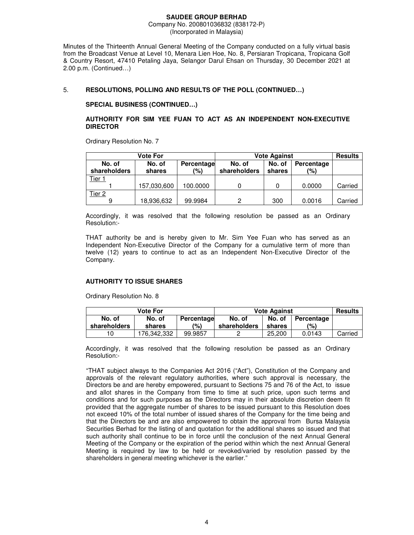Minutes of the Thirteenth Annual General Meeting of the Company conducted on a fully virtual basis from the Broadcast Venue at Level 10, Menara Lien Hoe, No. 8, Persiaran Tropicana, Tropicana Golf & Country Resort, 47410 Petaling Jaya, Selangor Darul Ehsan on Thursday, 30 December 2021 at 2.00 p.m. (Continued…)

# 5. **RESOLUTIONS, POLLING AND RESULTS OF THE POLL (CONTINUED…)**

### **SPECIAL BUSINESS (CONTINUED…)**

### **AUTHORITY FOR SIM YEE FUAN TO ACT AS AN INDEPENDENT NON-EXECUTIVE DIRECTOR**

Ordinary Resolution No. 7

| Vote For               |                  |                   | <b>Vote Against</b>    |                  |                   | <b>Results</b> |
|------------------------|------------------|-------------------|------------------------|------------------|-------------------|----------------|
| No. of<br>shareholders | No. of<br>shares | Percentage<br>(%) | No. of<br>shareholders | No. of<br>shares | Percentage<br>(%) |                |
| Tier 1                 |                  |                   |                        |                  |                   |                |
|                        | 157,030,600      | 100.0000          |                        |                  | 0.0000            | Carried        |
| Tier 2                 |                  |                   |                        |                  |                   |                |
| 9                      | 18,936,632       | 99.9984           | <b>o</b>               | 300              | 0.0016            | Carried        |

Accordingly, it was resolved that the following resolution be passed as an Ordinary Resolution:-

THAT authority be and is hereby given to Mr. Sim Yee Fuan who has served as an Independent Non-Executive Director of the Company for a cumulative term of more than twelve (12) years to continue to act as an Independent Non-Executive Director of the Company.

### **AUTHORITY TO ISSUE SHARES**

Ordinary Resolution No. 8

| Vote For     |                      |         | <b>Vote Against</b> |        |            | <b>Results</b> |
|--------------|----------------------|---------|---------------------|--------|------------|----------------|
| No. of       | No. of<br>Percentage |         |                     | No. of | Percentage |                |
| shareholders | shares               | (%)     | shareholders        | shares | (%)        |                |
| 10           | 176.342.332          | 99.9857 |                     | 25,200 | 0.0143     | Carried        |

Accordingly, it was resolved that the following resolution be passed as an Ordinary Resolution:-

"THAT subject always to the Companies Act 2016 ("Act"), Constitution of the Company and approvals of the relevant regulatory authorities, where such approval is necessary, the Directors be and are hereby empowered, pursuant to Sections 75 and 76 of the Act, to issue and allot shares in the Company from time to time at such price, upon such terms and conditions and for such purposes as the Directors may in their absolute discretion deem fit provided that the aggregate number of shares to be issued pursuant to this Resolution does not exceed 10% of the total number of issued shares of the Company for the time being and that the Directors be and are also empowered to obtain the approval from Bursa Malaysia Securities Berhad for the listing of and quotation for the additional shares so issued and that such authority shall continue to be in force until the conclusion of the next Annual General Meeting of the Company or the expiration of the period within which the next Annual General Meeting is required by law to be held or revoked/varied by resolution passed by the shareholders in general meeting whichever is the earlier."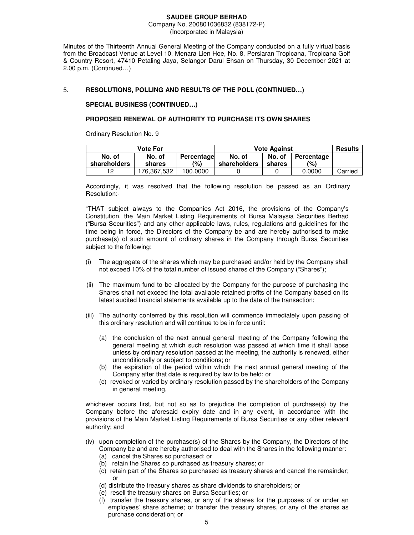Minutes of the Thirteenth Annual General Meeting of the Company conducted on a fully virtual basis from the Broadcast Venue at Level 10, Menara Lien Hoe, No. 8, Persiaran Tropicana, Tropicana Golf & Country Resort, 47410 Petaling Jaya, Selangor Darul Ehsan on Thursday, 30 December 2021 at 2.00 p.m. (Continued…)

# 5. **RESOLUTIONS, POLLING AND RESULTS OF THE POLL (CONTINUED…)**

### **SPECIAL BUSINESS (CONTINUED…)**

# **PROPOSED RENEWAL OF AUTHORITY TO PURCHASE ITS OWN SHARES**

Ordinary Resolution No. 9

| Vote For               |                  |                   | <b>Vote Against</b>    |                  |                   | <b>Results</b> |
|------------------------|------------------|-------------------|------------------------|------------------|-------------------|----------------|
| No. of<br>shareholders | No. of<br>shares | Percentage<br>(%) | No. of<br>shareholders | No. of<br>shares | Percentage<br>(%) |                |
| 12                     | 176.367.532      | 100.0000          |                        |                  | 0.0000            | Carried        |

Accordingly, it was resolved that the following resolution be passed as an Ordinary Resolution:-

"THAT subject always to the Companies Act 2016, the provisions of the Company's Constitution, the Main Market Listing Requirements of Bursa Malaysia Securities Berhad ("Bursa Securities") and any other applicable laws, rules, regulations and guidelines for the time being in force, the Directors of the Company be and are hereby authorised to make purchase(s) of such amount of ordinary shares in the Company through Bursa Securities subject to the following:

- (i) The aggregate of the shares which may be purchased and/or held by the Company shall not exceed 10% of the total number of issued shares of the Company ("Shares");
- (ii) The maximum fund to be allocated by the Company for the purpose of purchasing the Shares shall not exceed the total available retained profits of the Company based on its latest audited financial statements available up to the date of the transaction;
- (iii) The authority conferred by this resolution will commence immediately upon passing of this ordinary resolution and will continue to be in force until:
	- (a) the conclusion of the next annual general meeting of the Company following the general meeting at which such resolution was passed at which time it shall lapse unless by ordinary resolution passed at the meeting, the authority is renewed, either unconditionally or subject to conditions; or
	- (b) the expiration of the period within which the next annual general meeting of the Company after that date is required by law to be held; or
	- (c) revoked or varied by ordinary resolution passed by the shareholders of the Company in general meeting,

whichever occurs first, but not so as to prejudice the completion of purchase(s) by the Company before the aforesaid expiry date and in any event, in accordance with the provisions of the Main Market Listing Requirements of Bursa Securities or any other relevant authority; and

- (iv) upon completion of the purchase(s) of the Shares by the Company, the Directors of the Company be and are hereby authorised to deal with the Shares in the following manner:
	- (a) cancel the Shares so purchased; or
	- (b) retain the Shares so purchased as treasury shares; or
	- (c) retain part of the Shares so purchased as treasury shares and cancel the remainder; or
	- (d) distribute the treasury shares as share dividends to shareholders; or
	- (e) resell the treasury shares on Bursa Securities; or
	- (f) transfer the treasury shares, or any of the shares for the purposes of or under an employees' share scheme; or transfer the treasury shares, or any of the shares as purchase consideration; or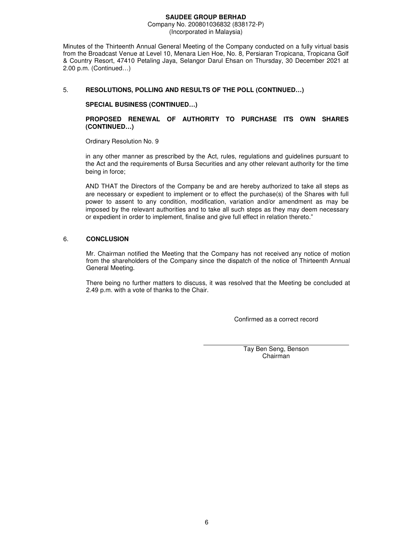Minutes of the Thirteenth Annual General Meeting of the Company conducted on a fully virtual basis from the Broadcast Venue at Level 10, Menara Lien Hoe, No. 8, Persiaran Tropicana, Tropicana Golf & Country Resort, 47410 Petaling Jaya, Selangor Darul Ehsan on Thursday, 30 December 2021 at 2.00 p.m. (Continued…)

# 5. **RESOLUTIONS, POLLING AND RESULTS OF THE POLL (CONTINUED…)**

**SPECIAL BUSINESS (CONTINUED…)** 

**PROPOSED RENEWAL OF AUTHORITY TO PURCHASE ITS OWN SHARES (CONTINUED…)** 

Ordinary Resolution No. 9

in any other manner as prescribed by the Act, rules, regulations and guidelines pursuant to the Act and the requirements of Bursa Securities and any other relevant authority for the time being in force;

AND THAT the Directors of the Company be and are hereby authorized to take all steps as are necessary or expedient to implement or to effect the purchase(s) of the Shares with full power to assent to any condition, modification, variation and/or amendment as may be imposed by the relevant authorities and to take all such steps as they may deem necessary or expedient in order to implement, finalise and give full effect in relation thereto."

# 6. **CONCLUSION**

Mr. Chairman notified the Meeting that the Company has not received any notice of motion from the shareholders of the Company since the dispatch of the notice of Thirteenth Annual General Meeting.

There being no further matters to discuss, it was resolved that the Meeting be concluded at 2.49 p.m. with a vote of thanks to the Chair.

Confirmed as a correct record

Tay Ben Seng, Benson Chairman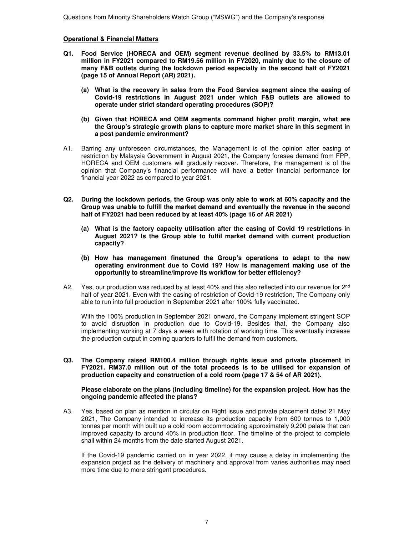### **Operational & Financial Matters**

- **Q1. Food Service (HORECA and OEM) segment revenue declined by 33.5% to RM13.01 million in FY2021 compared to RM19.56 million in FY2020, mainly due to the closure of many F&B outlets during the lockdown period especially in the second half of FY2021 (page 15 of Annual Report (AR) 2021).** 
	- **(a) What is the recovery in sales from the Food Service segment since the easing of Covid-19 restrictions in August 2021 under which F&B outlets are allowed to operate under strict standard operating procedures (SOP)?**
	- **(b) Given that HORECA and OEM segments command higher profit margin, what are the Group's strategic growth plans to capture more market share in this segment in a post pandemic environment?**
- A1. Barring any unforeseen circumstances, the Management is of the opinion after easing of restriction by Malaysia Government in August 2021, the Company foresee demand from FPP, HORECA and OEM customers will gradually recover. Therefore, the management is of the opinion that Company's financial performance will have a better financial performance for financial year 2022 as compared to year 2021.
- **Q2. During the lockdown periods, the Group was only able to work at 60% capacity and the Group was unable to fulfill the market demand and eventually the revenue in the second half of FY2021 had been reduced by at least 40% (page 16 of AR 2021)** 
	- **(a) What is the factory capacity utilisation after the easing of Covid 19 restrictions in August 2021? Is the Group able to fulfil market demand with current production capacity?**
	- **(b) How has management finetuned the Group's operations to adapt to the new operating environment due to Covid 19? How is management making use of the opportunity to streamline/improve its workflow for better efficiency?**
- A2. Yes, our production was reduced by at least 40% and this also reflected into our revenue for  $2^{nd}$ half of year 2021. Even with the easing of restriction of Covid-19 restriction, The Company only able to run into full production in September 2021 after 100% fully vaccinated.

With the 100% production in September 2021 onward, the Company implement stringent SOP to avoid disruption in production due to Covid-19. Besides that, the Company also implementing working at 7 days a week with rotation of working time. This eventually increase the production output in coming quarters to fulfil the demand from customers.

**Q3. The Company raised RM100.4 million through rights issue and private placement in FY2021. RM37.0 million out of the total proceeds is to be utilised for expansion of production capacity and construction of a cold room (page 17 & 54 of AR 2021).** 

### **Please elaborate on the plans (including timeline) for the expansion project. How has the ongoing pandemic affected the plans?**

A3. Yes, based on plan as mention in circular on Right issue and private placement dated 21 May 2021, The Company intended to increase its production capacity from 600 tonnes to 1,000 tonnes per month with built up a cold room accommodating approximately 9,200 palate that can improved capacity to around 40% in production floor. The timeline of the project to complete shall within 24 months from the date started August 2021.

If the Covid-19 pandemic carried on in year 2022, it may cause a delay in implementing the expansion project as the delivery of machinery and approval from varies authorities may need more time due to more stringent procedures.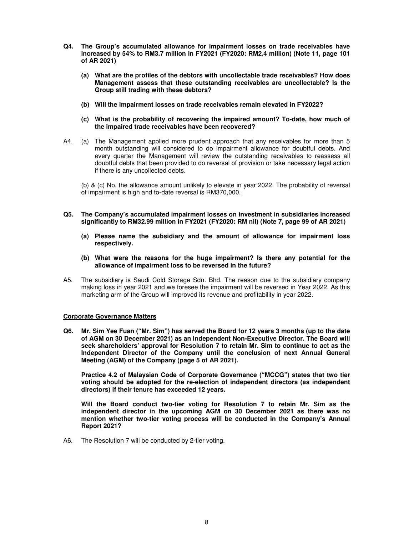- **Q4. The Group's accumulated allowance for impairment losses on trade receivables have increased by 54% to RM3.7 million in FY2021 (FY2020: RM2.4 million) (Note 11, page 101 of AR 2021)** 
	- **(a) What are the profiles of the debtors with uncollectable trade receivables? How does Management assess that these outstanding receivables are uncollectable? Is the Group still trading with these debtors?**
	- **(b) Will the impairment losses on trade receivables remain elevated in FY2022?**
	- **(c) What is the probability of recovering the impaired amount? To-date, how much of the impaired trade receivables have been recovered?**
- A4. (a) The Management applied more prudent approach that any receivables for more than 5 month outstanding will considered to do impairment allowance for doubtful debts. And every quarter the Management will review the outstanding receivables to reassess all doubtful debts that been provided to do reversal of provision or take necessary legal action if there is any uncollected debts.

(b) & (c) No, the allowance amount unlikely to elevate in year 2022. The probability of reversal of impairment is high and to-date reversal is RM370,000.

- **Q5. The Company's accumulated impairment losses on investment in subsidiaries increased significantly to RM32.99 million in FY2021 (FY2020: RM nil) (Note 7, page 99 of AR 2021)** 
	- **(a) Please name the subsidiary and the amount of allowance for impairment loss respectively.**
	- **(b) What were the reasons for the huge impairment? Is there any potential for the allowance of impairment loss to be reversed in the future?**
- A5. The subsidiary is Saudi Cold Storage Sdn. Bhd. The reason due to the subsidiary company making loss in year 2021 and we foresee the impairment will be reversed in Year 2022. As this marketing arm of the Group will improved its revenue and profitability in year 2022.

# **Corporate Governance Matters**

**Q6. Mr. Sim Yee Fuan ("Mr. Sim") has served the Board for 12 years 3 months (up to the date of AGM on 30 December 2021) as an Independent Non-Executive Director. The Board will seek shareholders' approval for Resolution 7 to retain Mr. Sim to continue to act as the Independent Director of the Company until the conclusion of next Annual General Meeting (AGM) of the Company (page 5 of AR 2021).** 

**Practice 4.2 of Malaysian Code of Corporate Governance ("MCCG") states that two tier voting should be adopted for the re-election of independent directors (as independent directors) if their tenure has exceeded 12 years.** 

**Will the Board conduct two-tier voting for Resolution 7 to retain Mr. Sim as the independent director in the upcoming AGM on 30 December 2021 as there was no mention whether two-tier voting process will be conducted in the Company's Annual Report 2021?** 

A6. The Resolution 7 will be conducted by 2-tier voting.